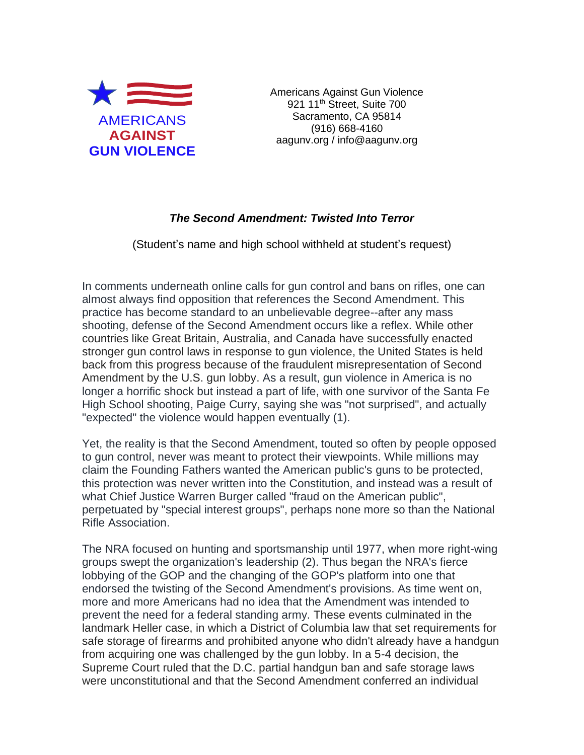

Americans Against Gun Violence 921 11<sup>th</sup> Street, Suite 700 Sacramento, CA 95814 (916) 668-4160 aagunv.org / info@aagunv.org

## *The Second Amendment: Twisted Into Terror*

(Student's name and high school withheld at student's request)

In comments underneath online calls for gun control and bans on rifles, one can almost always find opposition that references the Second Amendment. This practice has become standard to an unbelievable degree--after any mass shooting, defense of the Second Amendment occurs like a reflex. While other countries like Great Britain, Australia, and Canada have successfully enacted stronger gun control laws in response to gun violence, the United States is held back from this progress because of the fraudulent misrepresentation of Second Amendment by the U.S. gun lobby. As a result, gun violence in America is no longer a horrific shock but instead a part of life, with one survivor of the Santa Fe High School shooting, Paige Curry, saying she was "not surprised", and actually "expected" the violence would happen eventually (1).

Yet, the reality is that the Second Amendment, touted so often by people opposed to gun control, never was meant to protect their viewpoints. While millions may claim the Founding Fathers wanted the American public's guns to be protected, this protection was never written into the Constitution, and instead was a result of what Chief Justice Warren Burger called "fraud on the American public", perpetuated by "special interest groups", perhaps none more so than the National Rifle Association.

The NRA focused on hunting and sportsmanship until 1977, when more right-wing groups swept the organization's leadership (2). Thus began the NRA's fierce lobbying of the GOP and the changing of the GOP's platform into one that endorsed the twisting of the Second Amendment's provisions. As time went on, more and more Americans had no idea that the Amendment was intended to prevent the need for a federal standing army. These events culminated in the landmark Heller case, in which a District of Columbia law that set requirements for safe storage of firearms and prohibited anyone who didn't already have a handgun from acquiring one was challenged by the gun lobby. In a 5-4 decision, the Supreme Court ruled that the D.C. partial handgun ban and safe storage laws were unconstitutional and that the Second Amendment conferred an individual